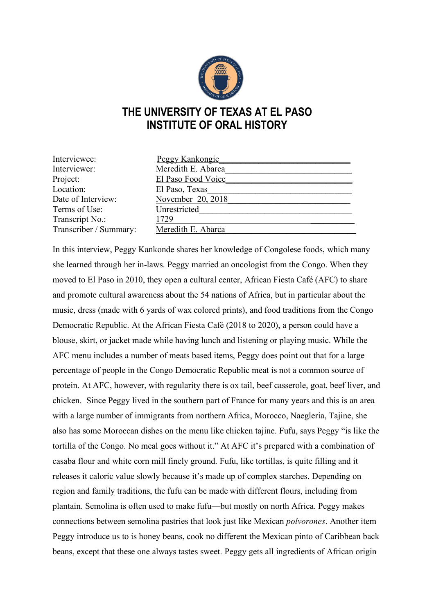

## **THE UNIVERSITY OF TEXAS AT EL PASO INSTITUTE OF ORAL HISTORY**

| Interviewee:           | Peggy Kankongie    |
|------------------------|--------------------|
| Interviewer:           | Meredith E. Abarca |
| Project:               | El Paso Food Voice |
| Location:              | El Paso, Texas     |
| Date of Interview:     | November 20, 2018  |
| Terms of Use:          | Unrestricted       |
| Transcript No.:        | 1729               |
| Transcriber / Summary: | Meredith E. Abarca |

In this interview, Peggy Kankonde shares her knowledge of Congolese foods, which many she learned through her in-laws. Peggy married an oncologist from the Congo. When they moved to El Paso in 2010, they open a cultural center, African Fiesta Café (AFC) to share and promote cultural awareness about the 54 nations of Africa, but in particular about the music, dress (made with 6 yards of wax colored prints), and food traditions from the Congo Democratic Republic. At the African Fiesta Café (2018 to 2020), a person could have a blouse, skirt, or jacket made while having lunch and listening or playing music. While the AFC menu includes a number of meats based items, Peggy does point out that for a large percentage of people in the Congo Democratic Republic meat is not a common source of protein. At AFC, however, with regularity there is ox tail, beef casserole, goat, beef liver, and chicken. Since Peggy lived in the southern part of France for many years and this is an area with a large number of immigrants from northern Africa, Morocco, Naegleria, Tajine, she also has some Moroccan dishes on the menu like chicken tajine. Fufu, says Peggy "is like the tortilla of the Congo. No meal goes without it." At AFC it's prepared with a combination of casaba flour and white corn mill finely ground. Fufu, like tortillas, is quite filling and it releases it caloric value slowly because it's made up of complex starches. Depending on region and family traditions, the fufu can be made with different flours, including from plantain. Semolina is often used to make fufu—but mostly on north Africa. Peggy makes connections between semolina pastries that look just like Mexican *polvorones*. Another item Peggy introduce us to is honey beans, cook no different the Mexican pinto of Caribbean back beans, except that these one always tastes sweet. Peggy gets all ingredients of African origin